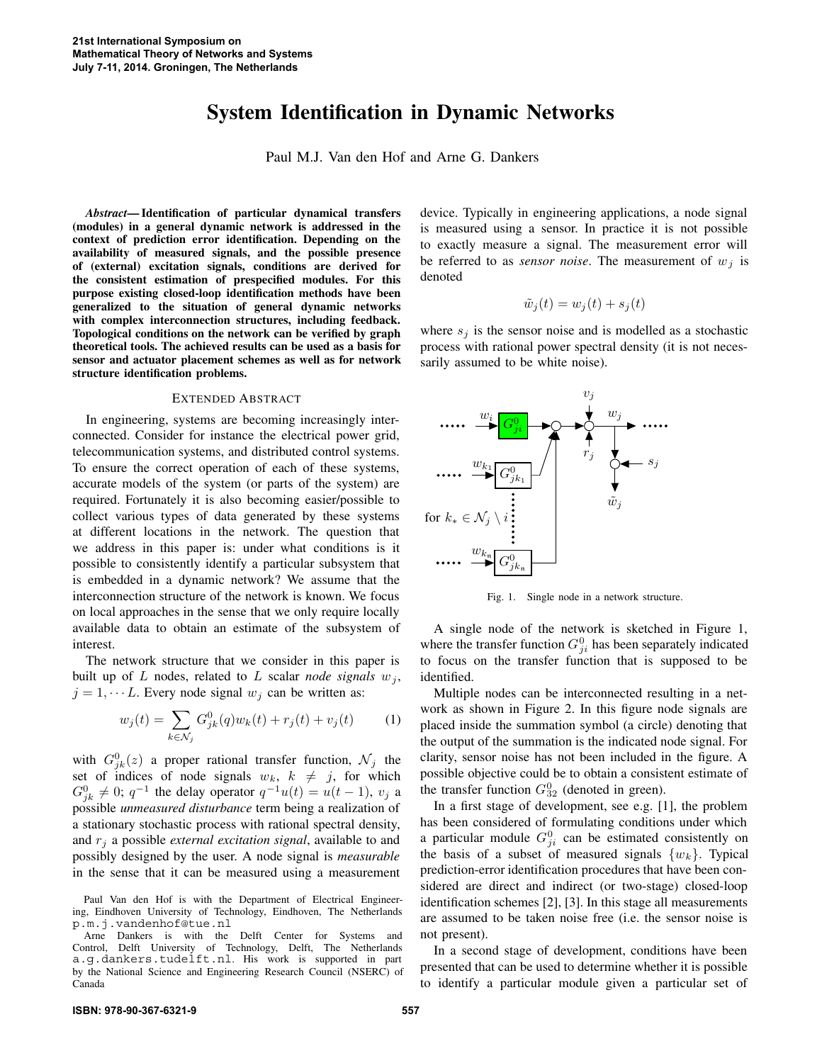## **System Identification in Dynamic Networks**

Paul M.J. Van den Hof and Arne G. Dankers

*Abstract***— Identification of particular dynamical transfers (modules) in a general dynamic network is addressed in the context of prediction error identification. Depending on the availability of measured signals, and the possible presence of (external) excitation signals, conditions are derived for the consistent estimation of prespecified modules. For this purpose existing closed-loop identification methods have been generalized to the situation of general dynamic networks with complex interconnection structures, including feedback. Topological conditions on the network can be verified by graph theoretical tools. The achieved results can be used as a basis for sensor and actuator placement schemes as well as for network structure identification problems.**

## EXTENDED ABSTRACT

In engineering, systems are becoming increasingly interconnected. Consider for instance the electrical power grid, telecommunication systems, and distributed control systems. To ensure the correct operation of each of these systems, accurate models of the system (or parts of the system) are required. Fortunately it is also becoming easier/possible to collect various types of data generated by these systems at different locations in the network. The question that we address in this paper is: under what conditions is it possible to consistently identify a particular subsystem that is embedded in a dynamic network? We assume that the interconnection structure of the network is known. We focus on local approaches in the sense that we only require locally available data to obtain an estimate of the subsystem of interest.

The network structure that we consider in this paper is built up of *L* nodes, related to *L* scalar *node signals*  $w_j$ ,  $j = 1, \dots L$ . Every node signal  $w_j$  can be written as:

$$
w_j(t) = \sum_{k \in \mathcal{N}_j} G_{jk}^0(q) w_k(t) + r_j(t) + v_j(t)
$$
 (1)

with  $G_{jk}^0(z)$  a proper rational transfer function,  $\mathcal{N}_j$  the set of indices of node signals  $w_k$ ,  $k \neq j$ , for which  $G_{jk}^0 \neq 0$ ;  $q^{-1}$  the delay operator  $q^{-1}u(t) = u(t-1)$ ,  $v_j$  a possible *unmeasured disturbance* term being a realization of a stationary stochastic process with rational spectral density, and *r<sup>j</sup>* a possible *external excitation signal*, available to and possibly designed by the user. A node signal is *measurable* in the sense that it can be measured using a measurement device. Typically in engineering applications, a node signal is measured using a sensor. In practice it is not possible to exactly measure a signal. The measurement error will be referred to as *sensor noise*. The measurement of  $w_j$  is denoted

$$
\tilde{w}_j(t) = w_j(t) + s_j(t)
$$

where  $s_j$  is the sensor noise and is modelled as a stochastic process with rational power spectral density (it is not necessarily assumed to be white noise).



Fig. 1. Single node in a network structure.

A single node of the network is sketched in Figure 1, where the transfer function  $G_{ji}^0$  has been separately indicated to focus on the transfer function that is supposed to be identified.

Multiple nodes can be interconnected resulting in a network as shown in Figure 2. In this figure node signals are placed inside the summation symbol (a circle) denoting that the output of the summation is the indicated node signal. For clarity, sensor noise has not been included in the figure. A possible objective could be to obtain a consistent estimate of the transfer function  $G_{32}^0$  (denoted in green).

In a first stage of development, see e.g. [1], the problem has been considered of formulating conditions under which a particular module  $G_{ji}^0$  can be estimated consistently on the basis of a subset of measured signals  $\{w_k\}$ . Typical prediction-error identification procedures that have been considered are direct and indirect (or two-stage) closed-loop identification schemes [2], [3]. In this stage all measurements are assumed to be taken noise free (i.e. the sensor noise is not present).

In a second stage of development, conditions have been presented that can be used to determine whether it is possible to identify a particular module given a particular set of

Paul Van den Hof is with the Department of Electrical Engineering, Eindhoven University of Technology, Eindhoven, The Netherlands p.m.j.vandenhof@tue.nl

Arne Dankers is with the Delft Center for Systems and Control, Delft University of Technology, Delft, The Netherlands a.g.dankers.tudelft.nl. His work is supported in part by the National Science and Engineering Research Council (NSERC) of Canada